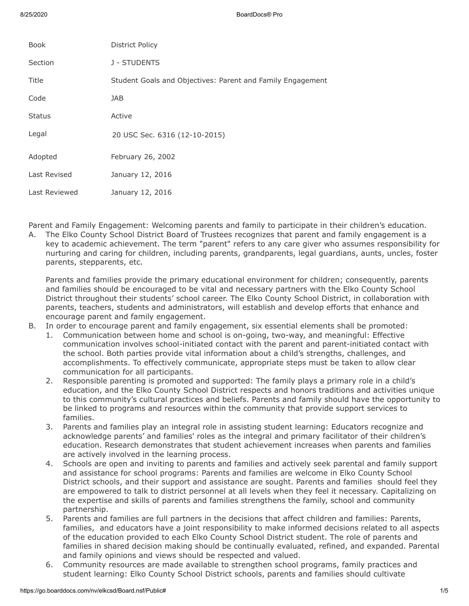| <b>Book</b>   | District Policy                                            |
|---------------|------------------------------------------------------------|
| Section       | J - STUDENTS                                               |
| Title         | Student Goals and Objectives: Parent and Family Engagement |
| Code          | JAB                                                        |
| <b>Status</b> | Active                                                     |
| Legal         | 20 USC Sec. 6316 (12-10-2015)                              |
| Adopted       | February 26, 2002                                          |
| Last Revised  | January 12, 2016                                           |
| Last Reviewed | January 12, 2016                                           |

Parent and Family Engagement: Welcoming parents and family to participate in their children's education.

A. The Elko County School District Board of Trustees recognizes that parent and family engagement is a key to academic achievement. The term "parent" refers to any care giver who assumes responsibility for nurturing and caring for children, including parents, grandparents, legal guardians, aunts, uncles, foster parents, stepparents, etc.

Parents and families provide the primary educational environment for children; consequently, parents and families should be encouraged to be vital and necessary partners with the Elko County School District throughout their students' school career. The Elko County School District, in collaboration with parents, teachers, students and administrators, will establish and develop efforts that enhance and encourage parent and family engagement.

- B. In order to encourage parent and family engagement, six essential elements shall be promoted:
	- 1. Communication between home and school is on-going, two-way, and meaningful: Effective communication involves school-initiated contact with the parent and parent-initiated contact with the school. Both parties provide vital information about a child's strengths, challenges, and accomplishments. To effectively communicate, appropriate steps must be taken to allow clear communication for all participants.
	- 2. Responsible parenting is promoted and supported: The family plays a primary role in a child's education, and the Elko County School District respects and honors traditions and activities unique to this community's cultural practices and beliefs. Parents and family should have the opportunity to be linked to programs and resources within the community that provide support services to families.
	- 3. Parents and families play an integral role in assisting student learning: Educators recognize and acknowledge parents' and families' roles as the integral and primary facilitator of their children's education. Research demonstrates that student achievement increases when parents and families are actively involved in the learning process.
	- 4. Schools are open and inviting to parents and families and actively seek parental and family support and assistance for school programs: Parents and families are welcome in Elko County School District schools, and their support and assistance are sought. Parents and families should feel they are empowered to talk to district personnel at all levels when they feel it necessary. Capitalizing on the expertise and skills of parents and families strengthens the family, school and community partnership.
	- 5. Parents and families are full partners in the decisions that affect children and families: Parents, families, and educators have a joint responsibility to make informed decisions related to all aspects of the education provided to each Elko County School District student. The role of parents and families in shared decision making should be continually evaluated, refined, and expanded. Parental and family opinions and views should be respected and valued.
	- 6. Community resources are made available to strengthen school programs, family practices and student learning: Elko County School District schools, parents and families should cultivate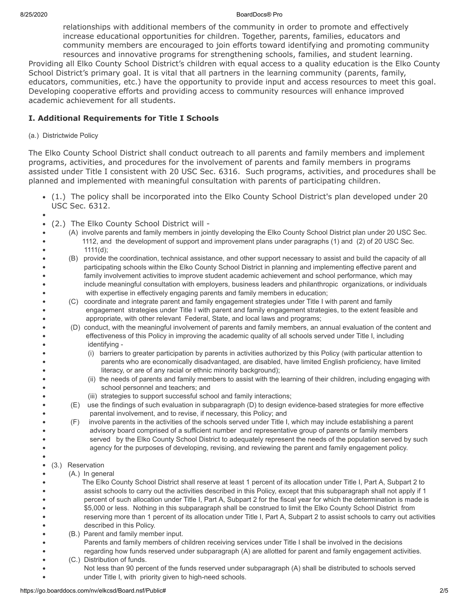#### 8/25/2020 BoardDocs® Pro

relationships with additional members of the community in order to promote and effectively increase educational opportunities for children. Together, parents, families, educators and community members are encouraged to join efforts toward identifying and promoting community resources and innovative programs for strengthening schools, families, and student learning. Providing all Elko County School District's children with equal access to a quality education is the Elko County School District's primary goal. It is vital that all partners in the learning community (parents, family,

educators, communities, etc.) have the opportunity to provide input and access resources to meet this goal. Developing cooperative efforts and providing access to community resources will enhance improved academic achievement for all students.

# **I. Additional Requirements for Title I Schools**

## (a.) Districtwide Policy

The Elko County School District shall conduct outreach to all parents and family members and implement programs, activities, and procedures for the involvement of parents and family members in programs assisted under Title I consistent with 20 USC Sec. 6316. Such programs, activities, and procedures shall be planned and implemented with meaningful consultation with parents of participating children.

- (1.) The policy shall be incorporated into the Elko County School District's plan developed under 20 USC Sec. 6312.
- 

 $\bullet$  $\bullet$  $\bullet$  $\bullet$ 

> $\bullet$  $\bullet$  $\bullet$  $\bullet$  $\bullet$  $\bullet$

 $\bullet$  $\bullet$  $\bullet$  $\bullet$  $\bullet$  $\bullet$ 

 $\bullet$  $\bullet$  $\bullet$ 

 $\bullet$ 

 $\bullet$  $\bullet$  $\bullet$ 

 $\bullet$ 

- (2.) The Elko County School District will -
- (A) involve parents and family members in jointly developing the Elko County School District plan under 20 USC Sec. 1112, and the development of support and improvement plans under paragraphs (1) and (2) of 20 USC Sec.  $1111(d)$ ;  $\bullet$ 
	- (B) provide the coordination, technical assistance, and other support necessary to assist and build the capacity of all participating schools within the Elko County School District in planning and implementing effective parent and family involvement activities to improve student academic achievement and school performance, which may
		- include meaningful consultation with employers, business leaders and philanthropic organizations, or individuals with expertise in effectively engaging parents and family members in education;
		- (C) coordinate and integrate parent and family engagement strategies under Title I with parent and family engagement strategies under Title I with parent and family engagement strategies, to the extent feasible and appropriate, with other relevant Federal, State, and local laws and programs;
		- (D) conduct, with the meaningful involvement of parents and family members, an annual evaluation of the content and effectiveness of this Policy in improving the academic quality of all schools served under Title I, including identifying -
			- (i) barriers to greater participation by parents in activities authorized by this Policy (with particular attention to parents who are economically disadvantaged, are disabled, have limited English proficiency, have limited literacy, or are of any racial or ethnic minority background);
			- (ii) the needs of parents and family members to assist with the learning of their children, including engaging with school personnel and teachers; and
			- (iii) strategies to support successful school and family interactions;
		- (E) use the findings of such evaluation in subparagraph (D) to design evidence-based strategies for more effective parental involvement, and to revise, if necessary, this Policy; and
		- (F) involve parents in the activities of the schools served under Title I, which may include establishing a parent advisory board comprised of a sufficient number and representative group of parents or family members served by the Elko County School District to adequately represent the needs of the population served by such agency for the purposes of developing, revising, and reviewing the parent and family engagement policy.

### (3.) Reservation

- (A.) In general
- $\bullet$  The Elko County School District shall reserve at least 1 percent of its allocation under Title I, Part A, Subpart 2 to assist schools to carry out the activities described in this Policy, except that this subparagraph shall not apply if 1  $\bullet$  percent of such allocation under Title I, Part A, Subpart 2 for the fiscal year for which the determination is made is \$5,000 or less. Nothing in this subparagraph shall be construed to limit the Elko County School District from  $\bullet$  $\bullet$  reserving more than 1 percent of its allocation under Title I, Part A, Subpart 2 to assist schools to carry out activities described in this Policy.
	- (B.) Parent and family member input.
	- Parents and family members of children receiving services under Title I shall be involved in the decisions
	- regarding how funds reserved under subparagraph (A) are allotted for parent and family engagement activities.
	- (C.) Distribution of funds.
- Not less than 90 percent of the funds reserved under subparagraph (A) shall be distributed to schools served under Title I, with priority given to high-need schools.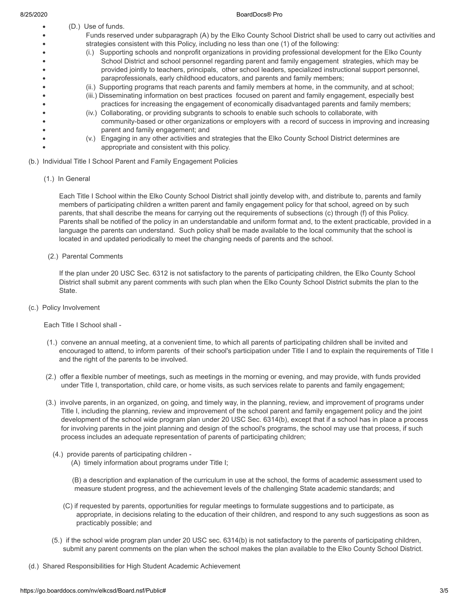$\bullet$  $\bullet$  $\bullet$ 

(D.) Use of funds.

#### 8/25/2020 BoardDocs® Pro

- Funds reserved under subparagraph (A) by the Elko County School District shall be used to carry out activities and  $\bullet$  $\bullet$  strategies consistent with this Policy, including no less than one (1) of the following:  $\bullet$  (i.) Supporting schools and nonprofit organizations in providing professional development for the Elko County  $\bullet$  School District and school personnel regarding parent and family engagement strategies, which may be  $\bullet$  provided jointly to teachers, principals, other school leaders, specialized instructional support personnel,  $\bullet$  paraprofessionals, early childhood educators, and parents and family members;  $\bullet$ 
	- (ii.) Supporting programs that reach parents and family members at home, in the community, and at school;
	- (iii.) Disseminating information on best practices focused on parent and family engagement, especially best
	- practices for increasing the engagement of economically disadvantaged parents and family members; (iv.) Collaborating, or providing subgrants to schools to enable such schools to collaborate, with
	- community-based or other organizations or employers with a record of success in improving and increasing parent and family engagement; and
	- (v.) Engaging in any other activities and strategies that the Elko County School District determines are appropriate and consistent with this policy.
- (b.) Individual Title I School Parent and Family Engagement Policies
	- (1.) In General

 Each Title I School within the Elko County School District shall jointly develop with, and distribute to, parents and family members of participating children a written parent and family engagement policy for that school, agreed on by such parents, that shall describe the means for carrying out the requirements of subsections (c) through (f) of this Policy. Parents shall be notified of the policy in an understandable and uniform format and, to the extent practicable, provided in a language the parents can understand. Such policy shall be made available to the local community that the school is located in and updated periodically to meet the changing needs of parents and the school.

(2.) Parental Comments

 If the plan under 20 USC Sec. 6312 is not satisfactory to the parents of participating children, the Elko County School District shall submit any parent comments with such plan when the Elko County School District submits the plan to the State.

(c.) Policy Involvement

Each Title I School shall -

- (1.) convene an annual meeting, at a convenient time, to which all parents of participating children shall be invited and encouraged to attend, to inform parents of their school's participation under Title I and to explain the requirements of Title I and the right of the parents to be involved.
- (2.) offer a flexible number of meetings, such as meetings in the morning or evening, and may provide, with funds provided under Title I, transportation, child care, or home visits, as such services relate to parents and family engagement;
- (3.) involve parents, in an organized, on going, and timely way, in the planning, review, and improvement of programs under Title I, including the planning, review and improvement of the school parent and family engagement policy and the joint development of the school wide program plan under 20 USC Sec. 6314(b), except that if a school has in place a process for involving parents in the joint planning and design of the school's programs, the school may use that process, if such process includes an adequate representation of parents of participating children;
	- (4.) provide parents of participating children
		- (A) timely information about programs under Title I;

 (B) a description and explanation of the curriculum in use at the school, the forms of academic assessment used to measure student progress, and the achievement levels of the challenging State academic standards; and

- (C) if requested by parents, opportunities for regular meetings to formulate suggestions and to participate, as appropriate, in decisions relating to the education of their children, and respond to any such suggestions as soon as practicably possible; and
- (5.) if the school wide program plan under 20 USC sec. 6314(b) is not satisfactory to the parents of participating children, submit any parent comments on the plan when the school makes the plan available to the Elko County School District.
- (d.) Shared Responsibilities for High Student Academic Achievement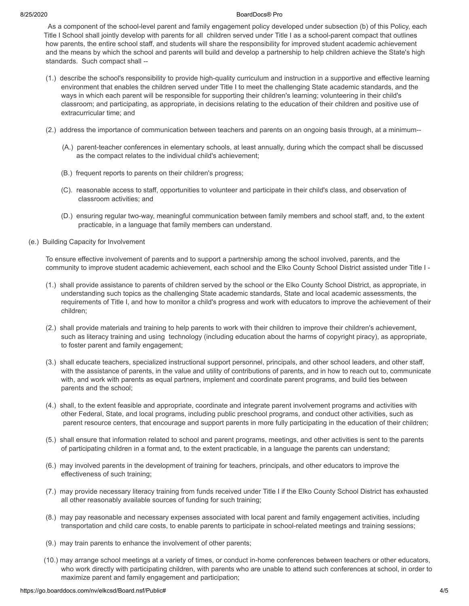#### 8/25/2020 BoardDocs® Pro

 As a component of the school-level parent and family engagement policy developed under subsection (b) of this Policy, each Title I School shall jointly develop with parents for all children served under Title I as a school-parent compact that outlines how parents, the entire school staff, and students will share the responsibility for improved student academic achievement and the means by which the school and parents will build and develop a partnership to help children achieve the State's high standards. Such compact shall --

- (1.) describe the school's responsibility to provide high-quality curriculum and instruction in a supportive and effective learning environment that enables the children served under Title I to meet the challenging State academic standards, and the ways in which each parent will be responsible for supporting their children's learning; volunteering in their child's classroom; and participating, as appropriate, in decisions relating to the education of their children and positive use of extracurricular time; and
- (2.) address the importance of communication between teachers and parents on an ongoing basis through, at a minimum--
	- (A.) parent-teacher conferences in elementary schools, at least annually, during which the compact shall be discussed as the compact relates to the individual child's achievement;
	- (B.) frequent reports to parents on their children's progress;
	- (C). reasonable access to staff, opportunities to volunteer and participate in their child's class, and observation of classroom activities; and
	- (D.) ensuring regular two-way, meaningful communication between family members and school staff, and, to the extent practicable, in a language that family members can understand.
- (e.) Building Capacity for Involvement

 To ensure effective involvement of parents and to support a partnership among the school involved, parents, and the community to improve student academic achievement, each school and the Elko County School District assisted under Title I -

- (1.) shall provide assistance to parents of children served by the school or the Elko County School District, as appropriate, in understanding such topics as the challenging State academic standards, State and local academic assessments, the requirements of Title I, and how to monitor a child's progress and work with educators to improve the achievement of their children;
- (2.) shall provide materials and training to help parents to work with their children to improve their children's achievement, such as literacy training and using technology (including education about the harms of copyright piracy), as appropriate, to foster parent and family engagement;
- (3.) shall educate teachers, specialized instructional support personnel, principals, and other school leaders, and other staff, with the assistance of parents, in the value and utility of contributions of parents, and in how to reach out to, communicate with, and work with parents as equal partners, implement and coordinate parent programs, and build ties between parents and the school;
- (4.) shall, to the extent feasible and appropriate, coordinate and integrate parent involvement programs and activities with other Federal, State, and local programs, including public preschool programs, and conduct other activities, such as parent resource centers, that encourage and support parents in more fully participating in the education of their children;
- (5.) shall ensure that information related to school and parent programs, meetings, and other activities is sent to the parents of participating children in a format and, to the extent practicable, in a language the parents can understand;
- (6.) may involved parents in the development of training for teachers, principals, and other educators to improve the effectiveness of such training;
- (7.) may provide necessary literacy training from funds received under Title I if the Elko County School District has exhausted all other reasonably available sources of funding for such training;
- (8.) may pay reasonable and necessary expenses associated with local parent and family engagement activities, including transportation and child care costs, to enable parents to participate in school-related meetings and training sessions;
- (9.) may train parents to enhance the involvement of other parents;
- (10.) may arrange school meetings at a variety of times, or conduct in-home conferences between teachers or other educators, who work directly with participating children, with parents who are unable to attend such conferences at school, in order to maximize parent and family engagement and participation;